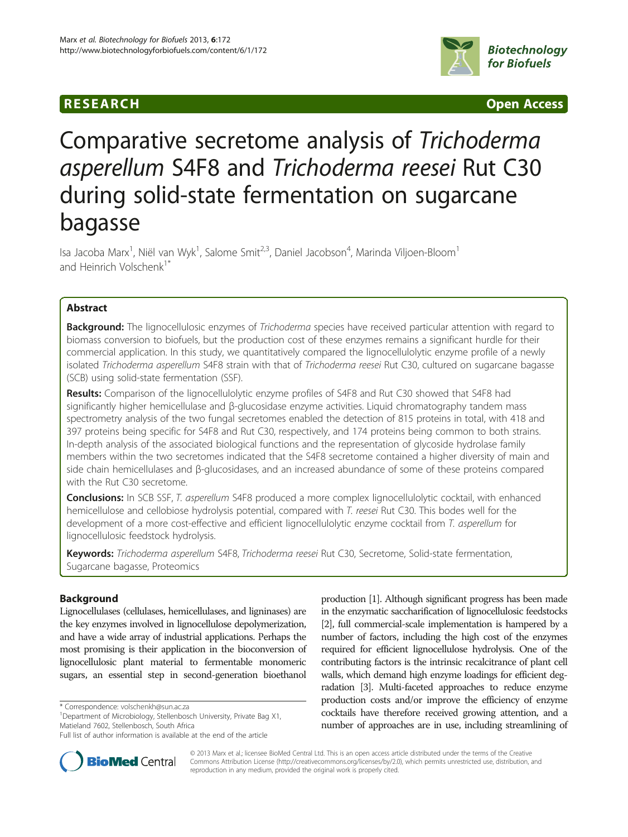# **RESEARCH RESEARCH CONSUMING ACCESS**



# Comparative secretome analysis of Trichoderma asperellum S4F8 and Trichoderma reesei Rut C30 during solid-state fermentation on sugarcane bagasse

Isa Jacoba Marx<sup>1</sup>, Niël van Wyk<sup>1</sup>, Salome Smit<sup>2,3</sup>, Daniel Jacobson<sup>4</sup>, Marinda Viljoen-Bloom<sup>1</sup> and Heinrich Volschenk<sup>1\*</sup>

# Abstract

Background: The lignocellulosic enzymes of Trichoderma species have received particular attention with regard to biomass conversion to biofuels, but the production cost of these enzymes remains a significant hurdle for their commercial application. In this study, we quantitatively compared the lignocellulolytic enzyme profile of a newly isolated Trichoderma asperellum S4F8 strain with that of Trichoderma reesei Rut C30, cultured on sugarcane bagasse (SCB) using solid-state fermentation (SSF).

Results: Comparison of the lignocellulolytic enzyme profiles of S4F8 and Rut C30 showed that S4F8 had significantly higher hemicellulase and β-glucosidase enzyme activities. Liquid chromatography tandem mass spectrometry analysis of the two fungal secretomes enabled the detection of 815 proteins in total, with 418 and 397 proteins being specific for S4F8 and Rut C30, respectively, and 174 proteins being common to both strains. In-depth analysis of the associated biological functions and the representation of glycoside hydrolase family members within the two secretomes indicated that the S4F8 secretome contained a higher diversity of main and side chain hemicellulases and β-glucosidases, and an increased abundance of some of these proteins compared with the Rut C30 secretome.

Conclusions: In SCB SSF, T. asperellum S4F8 produced a more complex lignocellulolytic cocktail, with enhanced hemicellulose and cellobiose hydrolysis potential, compared with T. reesei Rut C30. This bodes well for the development of a more cost-effective and efficient lignocellulolytic enzyme cocktail from T. asperellum for lignocellulosic feedstock hydrolysis.

Keywords: Trichoderma asperellum S4F8, Trichoderma reesei Rut C30, Secretome, Solid-state fermentation, Sugarcane bagasse, Proteomics

# Background

Lignocellulases (cellulases, hemicellulases, and ligninases) are the key enzymes involved in lignocellulose depolymerization, and have a wide array of industrial applications. Perhaps the most promising is their application in the bioconversion of lignocellulosic plant material to fermentable monomeric sugars, an essential step in second-generation bioethanol

\* Correspondence: [volschenkh@sun.ac.za](mailto:volschenkh@sun.ac.za) <sup>1</sup>

<sup>1</sup>Department of Microbiology, Stellenbosch University, Private Bag X1, Matieland 7602, Stellenbosch, South Africa

production [\[1](#page-11-0)]. Although significant progress has been made in the enzymatic saccharification of lignocellulosic feedstocks [[2](#page-11-0)], full commercial-scale implementation is hampered by a number of factors, including the high cost of the enzymes required for efficient lignocellulose hydrolysis. One of the contributing factors is the intrinsic recalcitrance of plant cell walls, which demand high enzyme loadings for efficient degradation [[3](#page-11-0)]. Multi-faceted approaches to reduce enzyme production costs and/or improve the efficiency of enzyme cocktails have therefore received growing attention, and a number of approaches are in use, including streamlining of



© 2013 Marx et al.; licensee BioMed Central Ltd. This is an open access article distributed under the terms of the Creative Commons Attribution License [\(http://creativecommons.org/licenses/by/2.0\)](http://creativecommons.org/licenses/by/2.0), which permits unrestricted use, distribution, and reproduction in any medium, provided the original work is properly cited.

Full list of author information is available at the end of the article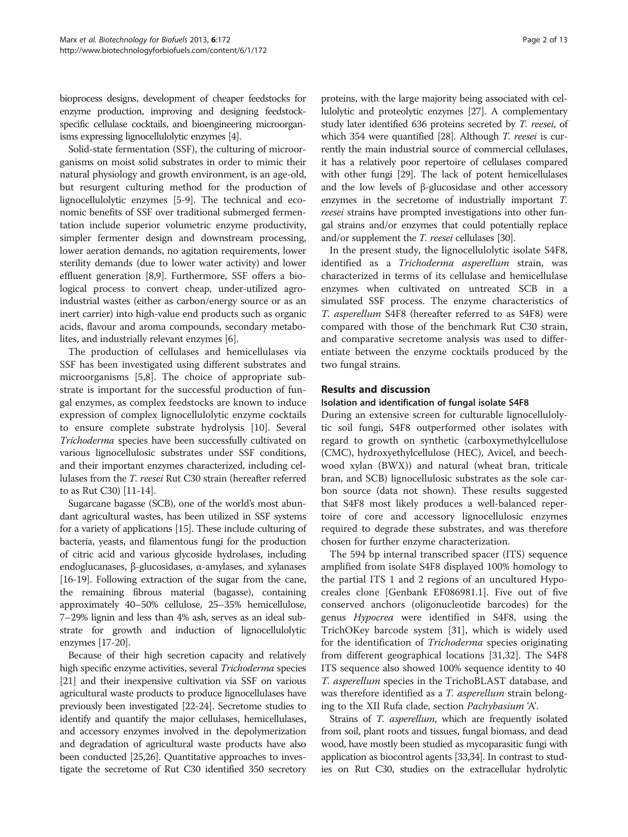bioprocess designs, development of cheaper feedstocks for enzyme production, improving and designing feedstockspecific cellulase cocktails, and bioengineering microorganisms expressing lignocellulolytic enzymes [\[4](#page-11-0)].

Solid-state fermentation (SSF), the culturing of microorganisms on moist solid substrates in order to mimic their natural physiology and growth environment, is an age-old, but resurgent culturing method for the production of lignocellulolytic enzymes [\[5](#page-11-0)-[9](#page-11-0)]. The technical and economic benefits of SSF over traditional submerged fermentation include superior volumetric enzyme productivity, simpler fermenter design and downstream processing, lower aeration demands, no agitation requirements, lower sterility demands (due to lower water activity) and lower effluent generation [\[8,9\]](#page-11-0). Furthermore, SSF offers a biological process to convert cheap, under-utilized agroindustrial wastes (either as carbon/energy source or as an inert carrier) into high-value end products such as organic acids, flavour and aroma compounds, secondary metabolites, and industrially relevant enzymes [\[6](#page-11-0)].

The production of cellulases and hemicellulases via SSF has been investigated using different substrates and microorganisms [[5,8\]](#page-11-0). The choice of appropriate substrate is important for the successful production of fungal enzymes, as complex feedstocks are known to induce expression of complex lignocellulolytic enzyme cocktails to ensure complete substrate hydrolysis [\[10\]](#page-11-0). Several Trichoderma species have been successfully cultivated on various lignocellulosic substrates under SSF conditions, and their important enzymes characterized, including cellulases from the T. reesei Rut C30 strain (hereafter referred to as Rut C30) [\[11-14\]](#page-11-0).

Sugarcane bagasse (SCB), one of the world's most abundant agricultural wastes, has been utilized in SSF systems for a variety of applications [\[15\]](#page-11-0). These include culturing of bacteria, yeasts, and filamentous fungi for the production of citric acid and various glycoside hydrolases, including endoglucanases, β-glucosidases, α-amylases, and xylanases [[16](#page-11-0)-[19](#page-11-0)]. Following extraction of the sugar from the cane, the remaining fibrous material (bagasse), containing approximately 40–50% cellulose, 25–35% hemicellulose, 7–29% lignin and less than 4% ash, serves as an ideal substrate for growth and induction of lignocellulolytic enzymes  $|17-20|$ .

Because of their high secretion capacity and relatively high specific enzyme activities, several Trichoderma species [[21](#page-11-0)] and their inexpensive cultivation via SSF on various agricultural waste products to produce lignocellulases have previously been investigated [[22](#page-11-0)-[24](#page-11-0)]. Secretome studies to identify and quantify the major cellulases, hemicellulases, and accessory enzymes involved in the depolymerization and degradation of agricultural waste products have also been conducted [\[25,26](#page-11-0)]. Quantitative approaches to investigate the secretome of Rut C30 identified 350 secretory

proteins, with the large majority being associated with cellulolytic and proteolytic enzymes [\[27](#page-11-0)]. A complementary study later identified 636 proteins secreted by T. reesei, of which 354 were quantified [\[28\]](#page-11-0). Although T. reesei is currently the main industrial source of commercial cellulases, it has a relatively poor repertoire of cellulases compared with other fungi [[29](#page-11-0)]. The lack of potent hemicellulases and the low levels of β-glucosidase and other accessory enzymes in the secretome of industrially important T. reesei strains have prompted investigations into other fungal strains and/or enzymes that could potentially replace and/or supplement the T. reesei cellulases [[30](#page-12-0)].

In the present study, the lignocellulolytic isolate S4F8, identified as a Trichoderma asperellum strain, was characterized in terms of its cellulase and hemicellulase enzymes when cultivated on untreated SCB in a simulated SSF process. The enzyme characteristics of T. asperellum S4F8 (hereafter referred to as S4F8) were compared with those of the benchmark Rut C30 strain, and comparative secretome analysis was used to differentiate between the enzyme cocktails produced by the two fungal strains.

#### Results and discussion

#### Isolation and identification of fungal isolate S4F8

During an extensive screen for culturable lignocellulolytic soil fungi, S4F8 outperformed other isolates with regard to growth on synthetic (carboxymethylcellulose (CMC), hydroxyethylcellulose (HEC), Avicel, and beechwood xylan (BWX)) and natural (wheat bran, triticale bran, and SCB) lignocellulosic substrates as the sole carbon source (data not shown). These results suggested that S4F8 most likely produces a well-balanced repertoire of core and accessory lignocellulosic enzymes required to degrade these substrates, and was therefore chosen for further enzyme characterization.

The 594 bp internal transcribed spacer (ITS) sequence amplified from isolate S4F8 displayed 100% homology to the partial ITS 1 and 2 regions of an uncultured Hypocreales clone [Genbank EF086981.1]. Five out of five conserved anchors (oligonucleotide barcodes) for the genus Hypocrea were identified in S4F8, using the TrichOKey barcode system [\[31](#page-12-0)], which is widely used for the identification of *Trichoderma* species originating from different geographical locations [[31,32\]](#page-12-0). The S4F8 ITS sequence also showed 100% sequence identity to 40 T. asperellum species in the TrichoBLAST database, and was therefore identified as a *T. asperellum* strain belonging to the XII Rufa clade, section Pachybasium 'A'.

Strains of *T. asperellum*, which are frequently isolated from soil, plant roots and tissues, fungal biomass, and dead wood, have mostly been studied as mycoparasitic fungi with application as biocontrol agents [\[33,34](#page-12-0)]. In contrast to studies on Rut C30, studies on the extracellular hydrolytic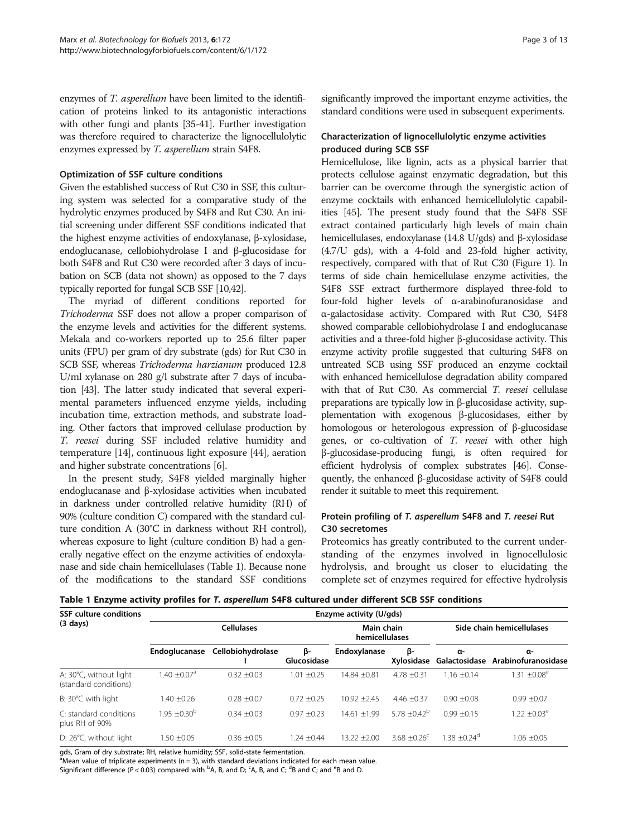enzymes of *T. asperellum* have been limited to the identification of proteins linked to its antagonistic interactions with other fungi and plants [\[35-41](#page-12-0)]. Further investigation was therefore required to characterize the lignocellulolytic enzymes expressed by T. asperellum strain S4F8.

# Optimization of SSF culture conditions

Given the established success of Rut C30 in SSF, this culturing system was selected for a comparative study of the hydrolytic enzymes produced by S4F8 and Rut C30. An initial screening under different SSF conditions indicated that the highest enzyme activities of endoxylanase, β-xylosidase, endoglucanase, cellobiohydrolase I and β-glucosidase for both S4F8 and Rut C30 were recorded after 3 days of incubation on SCB (data not shown) as opposed to the 7 days typically reported for fungal SCB SSF [[10](#page-11-0)[,42](#page-12-0)].

The myriad of different conditions reported for Trichoderma SSF does not allow a proper comparison of the enzyme levels and activities for the different systems. Mekala and co-workers reported up to 25.6 filter paper units (FPU) per gram of dry substrate (gds) for Rut C30 in SCB SSF, whereas Trichoderma harzianum produced 12.8 U/ml xylanase on 280 g/l substrate after 7 days of incubation [[43](#page-12-0)]. The latter study indicated that several experimental parameters influenced enzyme yields, including incubation time, extraction methods, and substrate loading. Other factors that improved cellulase production by T. reesei during SSF included relative humidity and temperature [[14](#page-11-0)], continuous light exposure [\[44\]](#page-12-0), aeration and higher substrate concentrations [[6](#page-11-0)].

In the present study, S4F8 yielded marginally higher endoglucanase and β-xylosidase activities when incubated in darkness under controlled relative humidity (RH) of 90% (culture condition C) compared with the standard culture condition A (30°C in darkness without RH control), whereas exposure to light (culture condition B) had a generally negative effect on the enzyme activities of endoxylanase and side chain hemicellulases (Table 1). Because none of the modifications to the standard SSF conditions significantly improved the important enzyme activities, the standard conditions were used in subsequent experiments.

# Characterization of lignocellulolytic enzyme activities produced during SCB SSF

Hemicellulose, like lignin, acts as a physical barrier that protects cellulose against enzymatic degradation, but this barrier can be overcome through the synergistic action of enzyme cocktails with enhanced hemicellulolytic capabilities [\[45](#page-12-0)]. The present study found that the S4F8 SSF extract contained particularly high levels of main chain hemicellulases, endoxylanase (14.8 U/gds) and β-xylosidase (4.7/U gds), with a 4-fold and 23-fold higher activity, respectively, compared with that of Rut C30 (Figure [1\)](#page-3-0). In terms of side chain hemicellulase enzyme activities, the S4F8 SSF extract furthermore displayed three-fold to four-fold higher levels of α-arabinofuranosidase and α-galactosidase activity. Compared with Rut C30, S4F8 showed comparable cellobiohydrolase I and endoglucanase activities and a three-fold higher β-glucosidase activity. This enzyme activity profile suggested that culturing S4F8 on untreated SCB using SSF produced an enzyme cocktail with enhanced hemicellulose degradation ability compared with that of Rut C30. As commercial T. reesei cellulase preparations are typically low in β-glucosidase activity, supplementation with exogenous β-glucosidases, either by homologous or heterologous expression of β-glucosidase genes, or co-cultivation of T. reesei with other high β-glucosidase-producing fungi, is often required for efficient hydrolysis of complex substrates [[46](#page-12-0)]. Consequently, the enhanced β-glucosidase activity of S4F8 could render it suitable to meet this requirement.

# Protein profiling of T. asperellum S4F8 and T. reesei Rut C30 secretomes

Proteomics has greatly contributed to the current understanding of the enzymes involved in lignocellulosic hydrolysis, and brought us closer to elucidating the complete set of enzymes required for effective hydrolysis

|  |  |  |  |  | Table 1 Enzyme activity profiles for T. asperellum S4F8 cultured under different SCB SSF conditions |
|--|--|--|--|--|-----------------------------------------------------------------------------------------------------|
|  |  |  |  |  |                                                                                                     |

| <b>SSF culture conditions</b>                   | Enzyme activity (U/gds) |                   |                              |                  |                           |                            |                                         |  |
|-------------------------------------------------|-------------------------|-------------------|------------------------------|------------------|---------------------------|----------------------------|-----------------------------------------|--|
| $(3 \text{ days})$                              |                         | <b>Cellulases</b> | Main chain<br>hemicellulases |                  | Side chain hemicellulases |                            |                                         |  |
|                                                 | Endoglucanase           | Cellobiohydrolase | ß-<br>Glucosidase            | Endoxylanase     | ß-<br>Xvlosidase          | α-                         | α-<br>Galactosidase Arabinofuranosidase |  |
| A: 30°C, without light<br>(standard conditions) | $1.40 + 0.07a$          | $0.32 + 0.03$     | $\pm 0.25$<br>1.01           | $14.84 \pm 0.81$ | $4.78 + 0.31$             | $1.16 + 0.14$              | $1.31 \pm 0.08^e$                       |  |
| B: 30°C with light                              | $1.40 + 0.26$           | $0.28 + 0.07$     | $0.72 \pm 0.25$              | $10.92 + 2.45$   | 4.46 $\pm$ 0.37           | $0.90 + 0.08$              | $0.99 \pm 0.07$                         |  |
| C: standard conditions<br>plus RH of 90%        | $1.95 \pm 0.30^{\circ}$ | $0.34 + 0.03$     | $0.97 + 0.23$                | $14.61 + 1.99$   | $5.78 + 0.42^b$           | $0.99 + 0.15$              | $1.22 + 0.03^e$                         |  |
| D: $26^{\circ}$ C, without light                | $1.50 \pm 0.05$         | $0.36 + 0.05$     | $1.24 + 0.44$                | $13.22 + 2.00$   | $3.68 + 0.26^{\circ}$     | $1.38 + 0.24$ <sup>d</sup> | $1.06 \pm 0.05$                         |  |

gds, Gram of dry substrate; RH, relative humidity; SSF, solid-state fermentation.

 $^{\alpha}$ Mean value of triplicate experiments (n = 3), with standard deviations indicated for each mean value.

Significant difference (P < 0.03) compared with <sup>b</sup>A, B, and D; <sup>c</sup>A, B, and C; <sup>d</sup>B and C; and <sup>e</sup>B and D.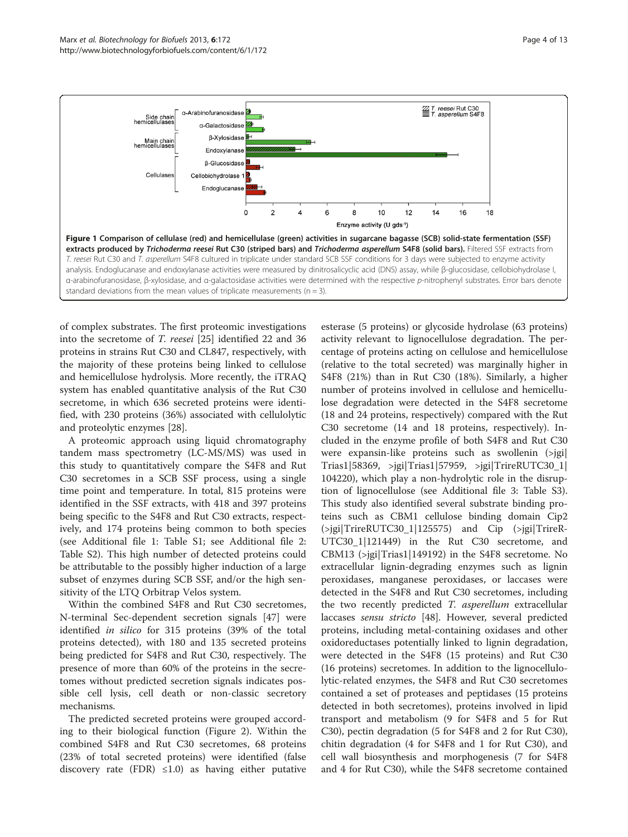<span id="page-3-0"></span>

of complex substrates. The first proteomic investigations into the secretome of T. reesei [\[25](#page-11-0)] identified 22 and 36 proteins in strains Rut C30 and CL847, respectively, with the majority of these proteins being linked to cellulose and hemicellulose hydrolysis. More recently, the iTRAQ system has enabled quantitative analysis of the Rut C30 secretome, in which 636 secreted proteins were identified, with 230 proteins (36%) associated with cellulolytic and proteolytic enzymes [\[28](#page-11-0)].

A proteomic approach using liquid chromatography tandem mass spectrometry (LC-MS/MS) was used in this study to quantitatively compare the S4F8 and Rut C30 secretomes in a SCB SSF process, using a single time point and temperature. In total, 815 proteins were identified in the SSF extracts, with 418 and 397 proteins being specific to the S4F8 and Rut C30 extracts, respectively, and 174 proteins being common to both species (see Additional file [1](#page-10-0): Table S1; see Additional file [2](#page-10-0): Table S2). This high number of detected proteins could be attributable to the possibly higher induction of a large subset of enzymes during SCB SSF, and/or the high sensitivity of the LTQ Orbitrap Velos system.

Within the combined S4F8 and Rut C30 secretomes, N-terminal Sec-dependent secretion signals [[47](#page-12-0)] were identified in silico for 315 proteins (39% of the total proteins detected), with 180 and 135 secreted proteins being predicted for S4F8 and Rut C30, respectively. The presence of more than 60% of the proteins in the secretomes without predicted secretion signals indicates possible cell lysis, cell death or non-classic secretory mechanisms.

The predicted secreted proteins were grouped according to their biological function (Figure [2\)](#page-4-0). Within the combined S4F8 and Rut C30 secretomes, 68 proteins (23% of total secreted proteins) were identified (false discovery rate (FDR)  $\leq 1.0$ ) as having either putative

esterase (5 proteins) or glycoside hydrolase (63 proteins) activity relevant to lignocellulose degradation. The percentage of proteins acting on cellulose and hemicellulose (relative to the total secreted) was marginally higher in S4F8 (21%) than in Rut C30 (18%). Similarly, a higher number of proteins involved in cellulose and hemicellulose degradation were detected in the S4F8 secretome (18 and 24 proteins, respectively) compared with the Rut C30 secretome (14 and 18 proteins, respectively). Included in the enzyme profile of both S4F8 and Rut C30 were expansin-like proteins such as swollenin (>jgi| Trias1|58369, >jgi|Trias1|57959, >jgi|TrireRUTC30\_1| 104220), which play a non-hydrolytic role in the disruption of lignocellulose (see Additional file [3](#page-10-0): Table S3). This study also identified several substrate binding proteins such as CBM1 cellulose binding domain Cip2 (>jgi|TrireRUTC30\_1|125575) and Cip (>jgi|TrireR-UTC30\_1|121449) in the Rut C30 secretome, and CBM13 (>jgi|Trias1|149192) in the S4F8 secretome. No extracellular lignin-degrading enzymes such as lignin peroxidases, manganese peroxidases, or laccases were detected in the S4F8 and Rut C30 secretomes, including the two recently predicted T. asperellum extracellular laccases sensu stricto [\[48\]](#page-12-0). However, several predicted proteins, including metal-containing oxidases and other oxidoreductases potentially linked to lignin degradation, were detected in the S4F8 (15 proteins) and Rut C30 (16 proteins) secretomes. In addition to the lignocellulolytic-related enzymes, the S4F8 and Rut C30 secretomes contained a set of proteases and peptidases (15 proteins detected in both secretomes), proteins involved in lipid transport and metabolism (9 for S4F8 and 5 for Rut C30), pectin degradation (5 for S4F8 and 2 for Rut C30), chitin degradation (4 for S4F8 and 1 for Rut C30), and cell wall biosynthesis and morphogenesis (7 for S4F8 and 4 for Rut C30), while the S4F8 secretome contained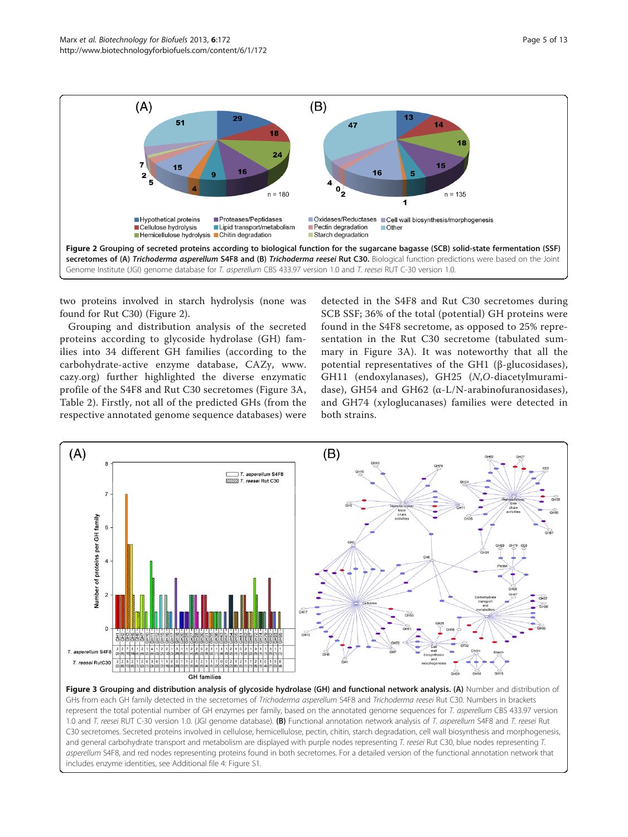<span id="page-4-0"></span>

two proteins involved in starch hydrolysis (none was found for Rut C30) (Figure 2).

Grouping and distribution analysis of the secreted proteins according to glycoside hydrolase (GH) families into 34 different GH families (according to the carbohydrate-active enzyme database, CAZy, [www.](http://www.cazy.org) [cazy.org](http://www.cazy.org)) further highlighted the diverse enzymatic profile of the S4F8 and Rut C30 secretomes (Figure 3A, Table [2\)](#page-5-0). Firstly, not all of the predicted GHs (from the respective annotated genome sequence databases) were

detected in the S4F8 and Rut C30 secretomes during SCB SSF; 36% of the total (potential) GH proteins were found in the S4F8 secretome, as opposed to 25% representation in the Rut C30 secretome (tabulated summary in Figure 3A). It was noteworthy that all the potential representatives of the GH1 (β-glucosidases), GH11 (endoxylanases), GH25 (N,O-diacetylmuramidase), GH54 and GH62 (α-L/N-arabinofuranosidases), and GH74 (xyloglucanases) families were detected in both strains.



Figure 3 Grouping and distribution analysis of glycoside hydrolase (GH) and functional network analysis. (A) Number and distribution of GHs from each GH family detected in the secretomes of Trichoderma asperellum S4F8 and Trichoderma reesei Rut C30. Numbers in brackets represent the total potential number of GH enzymes per family, based on the annotated genome sequences for T. asperellum CBS 433.97 version 1.0 and T. reesei RUT C-30 version 1.0. (JGI genome database). (B) Functional annotation network analysis of T. asperellum S4F8 and T. reesei Rut C30 secretomes. Secreted proteins involved in cellulose, hemicellulose, pectin, chitin, starch degradation, cell wall biosynthesis and morphogenesis, and general carbohydrate transport and metabolism are displayed with purple nodes representing T. reesei Rut C30, blue nodes representing T. asperellum S4F8, and red nodes representing proteins found in both secretomes. For a detailed version of the functional annotation network that includes enzyme identities, see Additional file [4](#page-11-0): Figure S1.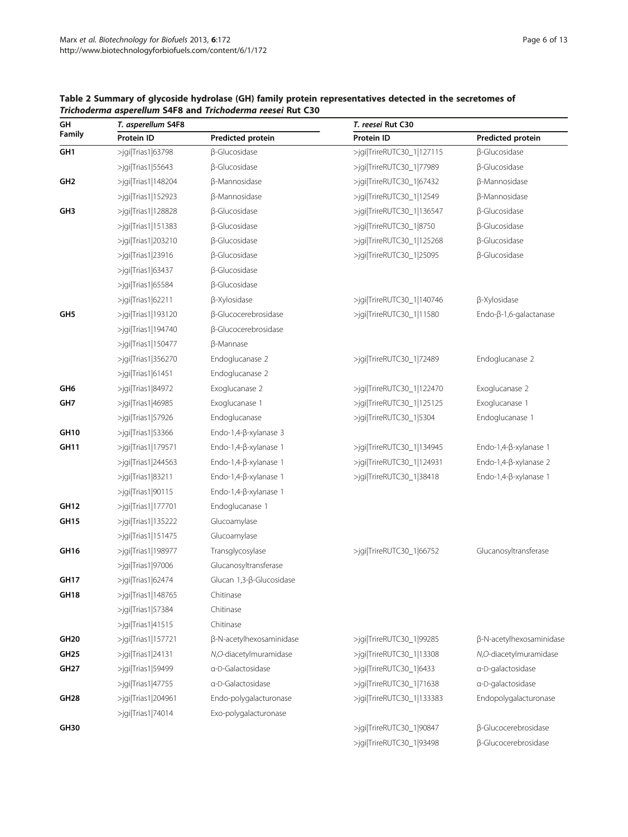| Page 6 of 13 |  |  |
|--------------|--|--|
|              |  |  |

| GH               | T. asperellum S4F8       |                             | T. reesei Rut C30         |                                |  |  |
|------------------|--------------------------|-----------------------------|---------------------------|--------------------------------|--|--|
| Family           | Protein ID               | Predicted protein           | Protein ID                | Predicted protein              |  |  |
| GH <sub>1</sub>  | >jgi Trias1 63798        | <b>ß-Glucosidase</b>        | >jgi TrireRUTC30_1 127115 | <b>ß-Glucosidase</b>           |  |  |
|                  | $>$ jgi Trias1 55643     | β-Glucosidase               | >jgi TrireRUTC30_1 77989  | <b>ß-Glucosidase</b>           |  |  |
| GH <sub>2</sub>  | $>$ jqi $ Trias1 148204$ | <b>ß-Mannosidase</b>        | >jgi TrireRUTC30_1 67432  | β-Mannosidase                  |  |  |
|                  | >jgi Trias1 152923       | β-Mannosidase               | >jgi TrireRUTC30_1 12549  | β-Mannosidase                  |  |  |
| GH <sub>3</sub>  | >jgi Trias1 128828       | β-Glucosidase               | >jgi TrireRUTC30_1 136547 | <b>ß-Glucosidase</b>           |  |  |
|                  | >jgi Trias1 151383       | β-Glucosidase               | >jgi TrireRUTC30_1 8750   | <b>ß-Glucosidase</b>           |  |  |
|                  | >jgi Trias1 203210       | β-Glucosidase               | >jgi TrireRUTC30_1 125268 | <b>ß-Glucosidase</b>           |  |  |
|                  | $>$ jgi Trias1 23916     | β-Glucosidase               | >jgi TrireRUTC30_1 25095  | <b>ß-Glucosidase</b>           |  |  |
|                  | >jgi Trias1 63437        | <b>ß-Glucosidase</b>        |                           |                                |  |  |
|                  | >jgi Trias1 65584        | β-Glucosidase               |                           |                                |  |  |
|                  | $>$ jgi Trias1 62211     | β-Xylosidase                | >jgi TrireRUTC30_1 140746 | β-Xylosidase                   |  |  |
| GH <sub>5</sub>  | >jgi Trias1 193120       | β-Glucocerebrosidase        | >jgi TrireRUTC30_1 11580  | Endo- $\beta$ -1,6-galactanase |  |  |
|                  | >jgi Trias1 194740       | <b>ß-Glucocerebrosidase</b> |                           |                                |  |  |
|                  | $>$ jqi Trias1 150477    | β-Mannase                   |                           |                                |  |  |
|                  | $>$ jgi Trias1 356270    | Endoglucanase 2             | >jgi TrireRUTC30_1 72489  | Endoglucanase 2                |  |  |
|                  | >jgi Trias1 61451        | Endoglucanase 2             |                           |                                |  |  |
| GH <sub>6</sub>  | >jgi Trias1 84972        | Exoglucanase 2              | >jgi TrireRUTC30_1 122470 | Exoglucanase 2                 |  |  |
| GH7              | >jgi Trias1 46985        | Exoglucanase 1              | >jgi TrireRUTC30_1 125125 | Exoglucanase 1                 |  |  |
|                  | $>$ jgi Trias1 57926     | Endoglucanase               | >jgi TrireRUTC30_1 5304   | Endoglucanase 1                |  |  |
| GH10             | $>$ jgi Trias1 53366     | Endo-1,4-ß-xylanase 3       |                           |                                |  |  |
| GH11             | $>$ jgi Trias1 179571    | Endo-1,4-ß-xylanase 1       | >jgi TrireRUTC30_1 134945 | Endo-1,4- $\beta$ -xylanase 1  |  |  |
|                  | $>$ jgi Trias1 244563    | Endo-1,4-ß-xylanase 1       | >jgi TrireRUTC30_1 124931 | Endo-1,4-ß-xylanase 2          |  |  |
|                  | $>$ jgi Trias1 83211     | Endo-1,4-β-xylanase 1       | >jgi TrireRUTC30_1 38418  | Endo-1,4-ß-xylanase 1          |  |  |
|                  | >jgi Trias1 90115        | Endo-1,4-ß-xylanase 1       |                           |                                |  |  |
| <b>GH12</b>      | >jgi Trias1 177701       | Endoglucanase 1             |                           |                                |  |  |
| <b>GH15</b>      | $>$ jqi $ Trias1 135222$ | Glucoamylase                |                           |                                |  |  |
|                  | $>$ jgi Trias1 151475    | Glucoamylase                |                           |                                |  |  |
| GH <sub>16</sub> | >jgi Trias1 198977       | Transglycosylase            | >jgi TrireRUTC30_1 66752  | Glucanosyltransferase          |  |  |
|                  | $>$ jgi Trias1 97006     | Glucanosyltransferase       |                           |                                |  |  |
| <b>GH17</b>      | >jgi Trias1 62474        | Glucan 1,3-β-Glucosidase    |                           |                                |  |  |
| <b>GH18</b>      | >jgi Trias1 148765       | Chitinase                   |                           |                                |  |  |
|                  | >jgi Trias1 57384        | Chitinase                   |                           |                                |  |  |
|                  | $>$ jgi Trias1 41515     | Chitinase                   |                           |                                |  |  |
| <b>GH20</b>      | >jgi Trias1 157721       | β-N-acetylhexosaminidase    | >jgi TrireRUTC30_1 99285  | β-N-acetylhexosaminidase       |  |  |
| GH <sub>25</sub> | $>$ jgi Trias1 24131     | N,O-diacetylmuramidase      | >jgi TrireRUTC30_1 13308  | N,O-diacetylmuramidase         |  |  |
| GH <sub>27</sub> | $>$ jqi Trias1 59499     | a-D-Galactosidase           | >jgi TrireRUTC30_1 6433   | a-D-galactosidase              |  |  |
|                  | $>$ jgi Trias1 47755     | a-D-Galactosidase           | >jgi TrireRUTC30_1 71638  | a-D-galactosidase              |  |  |
| GH <sub>28</sub> | >jgi Trias1 204961       | Endo-polygalacturonase      | >jgi TrireRUTC30_1 133383 | Endopolygalacturonase          |  |  |
|                  | $>$ jgi Trias1 74014     | Exo-polygalacturonase       |                           |                                |  |  |
| GH30             |                          |                             | >jgi TrireRUTC30_1 90847  | β-Glucocerebrosidase           |  |  |
|                  |                          |                             | >jgi TrireRUTC30_1 93498  | β-Glucocerebrosidase           |  |  |

# <span id="page-5-0"></span>Table 2 Summary of glycoside hydrolase (GH) family protein representatives detected in the secretomes of Trichoderma asperellum S4F8 and Trichoderma reesei Rut C30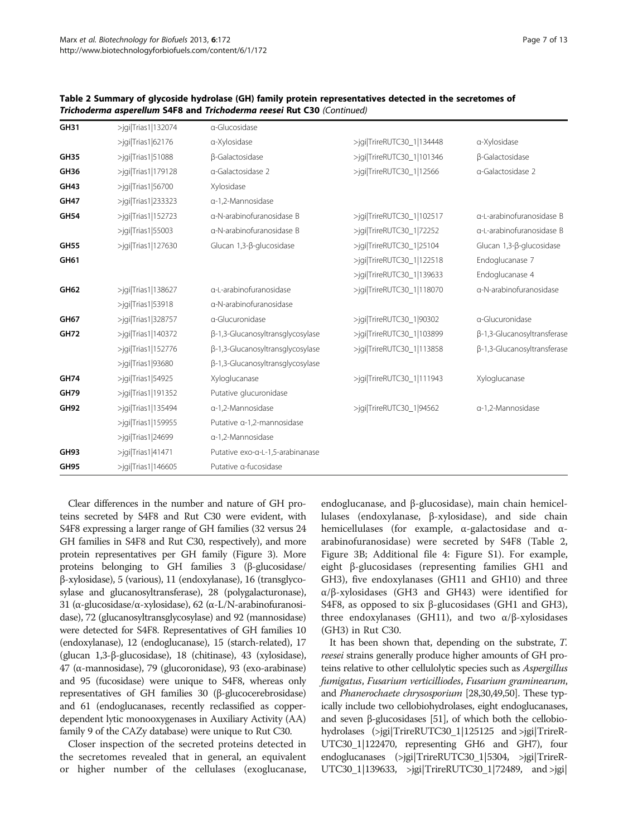| <b>GH31</b> | $>$ jqi $ Trias1 132074$ | a-Glucosidase                    |                           |                             |
|-------------|--------------------------|----------------------------------|---------------------------|-----------------------------|
|             | $>$ jqi Trias1 62176     | a-Xylosidase                     | >jgi TrireRUTC30_1 134448 | a-Xylosidase                |
| <b>GH35</b> | $>$ jqi Trias1 51088     | β-Galactosidase                  | >jgi TrireRUTC30_1 101346 | β-Galactosidase             |
| <b>GH36</b> | $>$ jqi Trias1 179128    | a-Galactosidase 2                | >jgi TrireRUTC30_1 12566  | a-Galactosidase 2           |
| GH43        | $>$ jqi Trias1 56700     | Xylosidase                       |                           |                             |
| <b>GH47</b> | >jgi Trias1 233323       | a-1,2-Mannosidase                |                           |                             |
| <b>GH54</b> | $>$ jgi Trias1 152723    | a-N-arabinofuranosidase B        | >jgi TrireRUTC30_1 102517 | a-L-arabinofuranosidase B   |
|             | $>$ jgi Trias1 55003     | a-N-arabinofuranosidase B        | >jgi TrireRUTC30_1 72252  | a-L-arabinofuranosidase B   |
| <b>GH55</b> | $>$ jqi $ Trias1 127630$ | Glucan 1,3-β-glucosidase         | >jgi TrireRUTC30 1 25104  | Glucan 1,3-β-glucosidase    |
| GH61        |                          |                                  | >jgi TrireRUTC30_1 122518 | Endoglucanase 7             |
|             |                          |                                  | >jgi TrireRUTC30_1 139633 | Endoglucanase 4             |
| GH62        | $>$ jgi Trias1 138627    | a-L-arabinofuranosidase          | >jgi TrireRUTC30_1 118070 | a-N-arabinofuranosidase     |
|             | $>$ jqi Trias1 53918     | a-N-arabinofuranosidase          |                           |                             |
| <b>GH67</b> | $>$ igi $ Trias1 328757$ | a-Glucuronidase                  | >jgi TrireRUTC30_1 90302  | a-Glucuronidase             |
| <b>GH72</b> | >jgi Trias1 140372       | β-1,3-Glucanosyltransglycosylase | >jgi TrireRUTC30_1 103899 | β-1,3-Glucanosyltransferase |
|             | $>$ jqi Trias1 152776    | β-1,3-Glucanosyltransglycosylase | >jgi TrireRUTC30_1 113858 | β-1,3-Glucanosyltransferase |
|             | $>$ jqi Trias1 93680     | β-1,3-Glucanosyltransglycosylase |                           |                             |
| <b>GH74</b> | $>$ jqi Trias1 54925     | Xyloglucanase                    | >jgi TrireRUTC30_1 111943 | Xyloglucanase               |
| <b>GH79</b> | >jgi Trias1 191352       | Putative glucuronidase           |                           |                             |
| <b>GH92</b> | $>$ jqi $ Trias1 135494$ | a-1,2-Mannosidase                | >jgi TrireRUTC30_1 94562  | a-1,2-Mannosidase           |
|             | $>$ jgi Trias1 159955    | Putative a-1,2-mannosidase       |                           |                             |
|             | $>$ jqi Trias1 24699     | a-1,2-Mannosidase                |                           |                             |
| <b>GH93</b> | $>$ jqi Trias1 41471     | Putative exo-a-L-1,5-arabinanase |                           |                             |
| <b>GH95</b> | >jgi Trias1 146605       | Putative a-fucosidase            |                           |                             |

Table 2 Summary of glycoside hydrolase (GH) family protein representatives detected in the secretomes of Trichoderma asperellum S4F8 and Trichoderma reesei Rut C30 (Continued)

Clear differences in the number and nature of GH proteins secreted by S4F8 and Rut C30 were evident, with S4F8 expressing a larger range of GH families (32 versus 24 GH families in S4F8 and Rut C30, respectively), and more protein representatives per GH family (Figure [3\)](#page-4-0). More proteins belonging to GH families 3 (β-glucosidase/ β-xylosidase), 5 (various), 11 (endoxylanase), 16 (transglycosylase and glucanosyltransferase), 28 (polygalacturonase), 31 (α-glucosidase/α-xylosidase), 62 (α-L/N-arabinofuranosidase), 72 (glucanosyltransglycosylase) and 92 (mannosidase) were detected for S4F8. Representatives of GH families 10 (endoxylanase), 12 (endoglucanase), 15 (starch-related), 17 (glucan 1,3-β-glucosidase), 18 (chitinase), 43 (xylosidase), 47 (α-mannosidase), 79 (glucoronidase), 93 (exo-arabinase) and 95 (fucosidase) were unique to S4F8, whereas only representatives of GH families 30 (β-glucocerebrosidase) and 61 (endoglucanases, recently reclassified as copperdependent lytic monooxygenases in Auxiliary Activity (AA) family 9 of the CAZy database) were unique to Rut C30.

Closer inspection of the secreted proteins detected in the secretomes revealed that in general, an equivalent or higher number of the cellulases (exoglucanase,

endoglucanase, and β-glucosidase), main chain hemicellulases (endoxylanase, β-xylosidase), and side chain hemicellulases (for example, α-galactosidase and αarabinofuranosidase) were secreted by S4F8 (Table [2](#page-5-0), Figure [3B](#page-4-0); Additional file [4:](#page-11-0) Figure S1). For example, eight β-glucosidases (representing families GH1 and GH3), five endoxylanases (GH11 and GH10) and three α/β-xylosidases (GH3 and GH43) were identified for S4F8, as opposed to six β-glucosidases (GH1 and GH3), three endoxylanases (GH11), and two  $α/β$ -xylosidases (GH3) in Rut C30.

It has been shown that, depending on the substrate, T. reesei strains generally produce higher amounts of GH proteins relative to other cellulolytic species such as Aspergillus fumigatus, Fusarium verticilliodes, Fusarium graminearum, and Phanerochaete chrysosporium [[28](#page-11-0)[,30,49,50](#page-12-0)]. These typically include two cellobiohydrolases, eight endoglucanases, and seven β-glucosidases [\[51](#page-12-0)], of which both the cellobiohydrolases (>jgi|TrireRUTC30\_1|125125 and >jgi|TrireR-UTC30\_1|122470, representing GH6 and GH7), four endoglucanases (>jgi|TrireRUTC30\_1|5304, >jgi|TrireR-UTC30\_1|139633, >jgi|TrireRUTC30\_1|72489, and >jgi|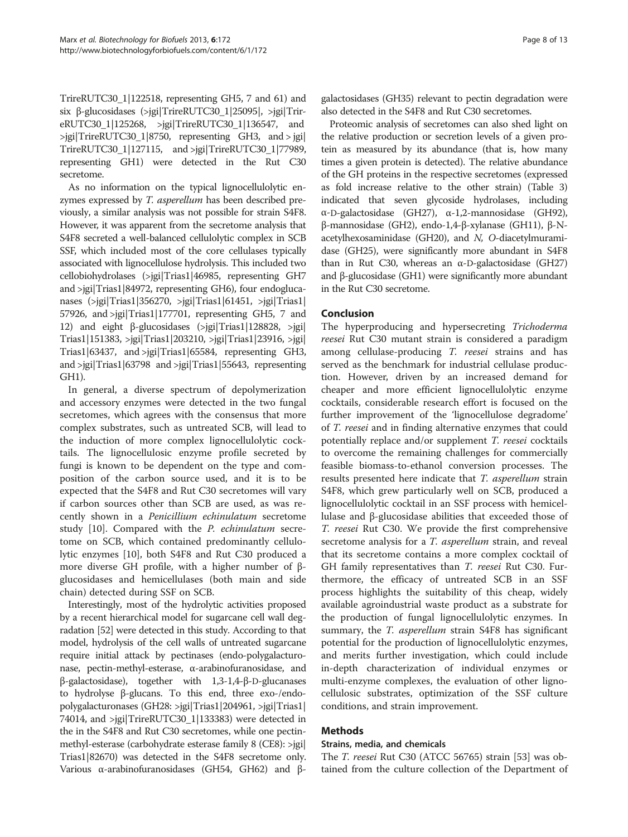TrireRUTC30\_1|122518, representing GH5, 7 and 61) and six β-glucosidases (>jgi|TrireRUTC30\_1|25095|, >jgi|TrireRUTC30\_1|125268, >jgi|TrireRUTC30\_1|136547, and >jgi|TrireRUTC30\_1|8750, representing GH3, and > jgi| TrireRUTC30\_1|127115, and >jgi|TrireRUTC30\_1|77989, representing GH1) were detected in the Rut C30 secretome.

As no information on the typical lignocellulolytic enzymes expressed by T. asperellum has been described previously, a similar analysis was not possible for strain S4F8. However, it was apparent from the secretome analysis that S4F8 secreted a well-balanced cellulolytic complex in SCB SSF, which included most of the core cellulases typically associated with lignocellulose hydrolysis. This included two cellobiohydrolases (>jgi|Trias1|46985, representing GH7 and >jgi|Trias1|84972, representing GH6), four endoglucanases (>jgi|Trias1|356270, >jgi|Trias1|61451, >jgi|Trias1| 57926, and >jgi|Trias1|177701, representing GH5, 7 and 12) and eight β-glucosidases (>jgi|Trias1|128828, >jgi| Trias1|151383, >jgi|Trias1|203210, >jgi|Trias1|23916, >jgi| Trias1|63437, and >jgi|Trias1|65584, representing GH3, and >jgi|Trias1|63798 and >jgi|Trias1|55643, representing GH1).

In general, a diverse spectrum of depolymerization and accessory enzymes were detected in the two fungal secretomes, which agrees with the consensus that more complex substrates, such as untreated SCB, will lead to the induction of more complex lignocellulolytic cocktails. The lignocellulosic enzyme profile secreted by fungi is known to be dependent on the type and composition of the carbon source used, and it is to be expected that the S4F8 and Rut C30 secretomes will vary if carbon sources other than SCB are used, as was recently shown in a Penicillium echinulatum secretome study [[10\]](#page-11-0). Compared with the P. echinulatum secretome on SCB, which contained predominantly cellulolytic enzymes [[10\]](#page-11-0), both S4F8 and Rut C30 produced a more diverse GH profile, with a higher number of βglucosidases and hemicellulases (both main and side chain) detected during SSF on SCB.

Interestingly, most of the hydrolytic activities proposed by a recent hierarchical model for sugarcane cell wall degradation [\[52\]](#page-12-0) were detected in this study. According to that model, hydrolysis of the cell walls of untreated sugarcane require initial attack by pectinases (endo-polygalacturonase, pectin-methyl-esterase, α-arabinofuranosidase, and β-galactosidase), together with 1,3-1,4-β-D-glucanases to hydrolyse β-glucans. To this end, three exo-/endopolygalacturonases (GH28: >jgi|Trias1|204961, >jgi|Trias1| 74014, and >jgi|TrireRUTC30\_1|133383) were detected in the in the S4F8 and Rut C30 secretomes, while one pectinmethyl-esterase (carbohydrate esterase family 8 (CE8): >jgi| Trias1|82670) was detected in the S4F8 secretome only. Various α-arabinofuranosidases (GH54, GH62) and βgalactosidases (GH35) relevant to pectin degradation were also detected in the S4F8 and Rut C30 secretomes.

Proteomic analysis of secretomes can also shed light on the relative production or secretion levels of a given protein as measured by its abundance (that is, how many times a given protein is detected). The relative abundance of the GH proteins in the respective secretomes (expressed as fold increase relative to the other strain) (Table [3](#page-8-0)) indicated that seven glycoside hydrolases, including α-D-galactosidase (GH27), α-1,2-mannosidase (GH92), β-mannosidase (GH2), endo-1,4-β-xylanase (GH11), β-Nacetylhexosaminidase (GH20), and N, O-diacetylmuramidase (GH25), were significantly more abundant in S4F8 than in Rut C30, whereas an  $α$ -D-galactosidase (GH27) and β-glucosidase (GH1) were significantly more abundant in the Rut C30 secretome.

# Conclusion

The hyperproducing and hypersecreting Trichoderma reesei Rut C30 mutant strain is considered a paradigm among cellulase-producing T. reesei strains and has served as the benchmark for industrial cellulase production. However, driven by an increased demand for cheaper and more efficient lignocellulolytic enzyme cocktails, considerable research effort is focused on the further improvement of the 'lignocellulose degradome' of T. reesei and in finding alternative enzymes that could potentially replace and/or supplement T. reesei cocktails to overcome the remaining challenges for commercially feasible biomass-to-ethanol conversion processes. The results presented here indicate that T. asperellum strain S4F8, which grew particularly well on SCB, produced a lignocellulolytic cocktail in an SSF process with hemicellulase and β-glucosidase abilities that exceeded those of T. reesei Rut C30. We provide the first comprehensive secretome analysis for a *T. asperellum* strain, and reveal that its secretome contains a more complex cocktail of GH family representatives than T. reesei Rut C30. Furthermore, the efficacy of untreated SCB in an SSF process highlights the suitability of this cheap, widely available agroindustrial waste product as a substrate for the production of fungal lignocellulolytic enzymes. In summary, the *T. asperellum* strain S4F8 has significant potential for the production of lignocellulolytic enzymes, and merits further investigation, which could include in-depth characterization of individual enzymes or multi-enzyme complexes, the evaluation of other lignocellulosic substrates, optimization of the SSF culture conditions, and strain improvement.

# Methods

#### Strains, media, and chemicals

The T. reesei Rut C30 (ATCC 56765) strain [\[53](#page-12-0)] was obtained from the culture collection of the Department of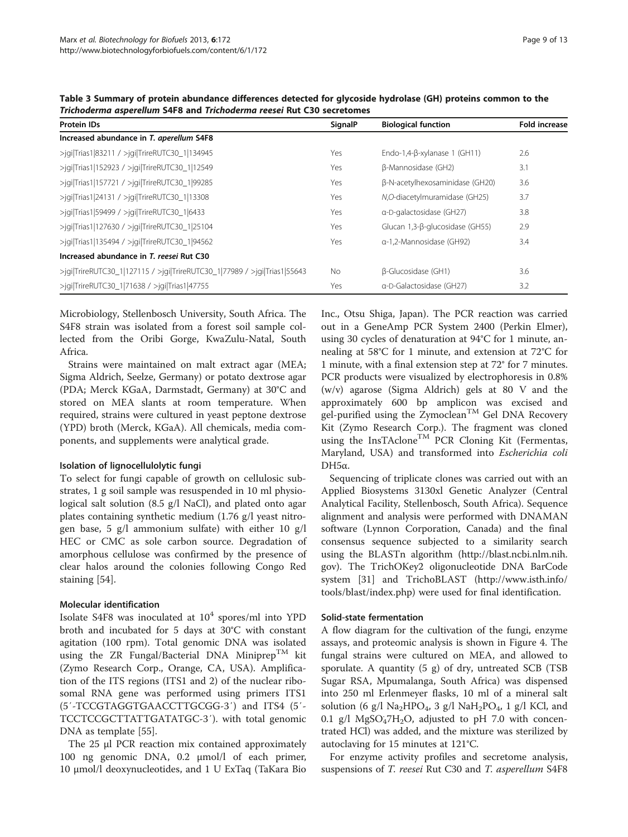<span id="page-8-0"></span>Table 3 Summary of protein abundance differences detected for glycoside hydrolase (GH) proteins common to the Trichoderma asperellum S4F8 and Trichoderma reesei Rut C30 secretomes

| <b>Protein IDs</b>                                                       | SignalP   | <b>Biological function</b>           | <b>Fold increase</b> |
|--------------------------------------------------------------------------|-----------|--------------------------------------|----------------------|
| Increased abundance in T. aperellum S4F8                                 |           |                                      |                      |
| >jgi Trias1 83211 / >jgi TrireRUTC30_1 134945                            | Yes       | Endo-1,4- $\beta$ -xylanase 1 (GH11) | 2.6                  |
| >jqi Trias1 152923 / >jqi TrireRUTC30_1 12549                            | Yes       | β-Mannosidase (GH2)                  | 3.1                  |
| >jgi Trias1 157721 / >jgi TrireRUTC30_1 99285                            | Yes       | β-N-acetylhexosaminidase (GH20)      | 3.6                  |
| >jgi Trias1 24131 / >jgi TrireRUTC30_1 13308                             | Yes       | N,O-diacetylmuramidase (GH25)        | 3.7                  |
| $>$ jqi Trias1 59499 / $>$ jqi TrireRUTC30_1 6433                        | Yes       | a-D-galactosidase (GH27)             | 3.8                  |
| >jqi Trias1 127630 / >jqi TrireRUTC30_1 25104                            | Yes       | Glucan 1,3-B-glucosidase (GH55)      | 2.9                  |
| >jgi Trias1 135494 / >jgi TrireRUTC30_1 94562                            | Yes       | a-1.2-Mannosidase (GH92)             | 3.4                  |
| Increased abundance in T. reesei Rut C30                                 |           |                                      |                      |
| >jqi TrireRUTC30_1 127115 / >jqi TrireRUTC30_1 77989 / >jqi Trias1 55643 | <b>No</b> | β-Glucosidase (GH1)                  | 3.6                  |
| >jgi TrireRUTC30_1 71638 / >jgi Trias1 47755                             | Yes       | a-D-Galactosidase (GH27)             | 3.2                  |

Microbiology, Stellenbosch University, South Africa. The S4F8 strain was isolated from a forest soil sample collected from the Oribi Gorge, KwaZulu-Natal, South Africa.

Strains were maintained on malt extract agar (MEA; Sigma Aldrich, Seelze, Germany) or potato dextrose agar (PDA; Merck KGaA, Darmstadt, Germany) at 30°C and stored on MEA slants at room temperature. When required, strains were cultured in yeast peptone dextrose (YPD) broth (Merck, KGaA). All chemicals, media components, and supplements were analytical grade.

#### Isolation of lignocellulolytic fungi

To select for fungi capable of growth on cellulosic substrates, 1 g soil sample was resuspended in 10 ml physiological salt solution (8.5 g/l NaCl), and plated onto agar plates containing synthetic medium (1.76 g/l yeast nitrogen base, 5 g/l ammonium sulfate) with either 10 g/l HEC or CMC as sole carbon source. Degradation of amorphous cellulose was confirmed by the presence of clear halos around the colonies following Congo Red staining [[54\]](#page-12-0).

# Molecular identification

Isolate S4F8 was inoculated at  $10^4$  spores/ml into YPD broth and incubated for 5 days at 30°C with constant agitation (100 rpm). Total genomic DNA was isolated using the ZR Fungal/Bacterial DNA Miniprep<sup>TM</sup> kit (Zymo Research Corp., Orange, CA, USA). Amplification of the ITS regions (ITS1 and 2) of the nuclear ribosomal RNA gene was performed using primers ITS1 (5′-TCCGTAGGTGAACCTTGCGG-3′) and ITS4 (5′- TCCTCCGCTTATTGATATGC-3′). with total genomic DNA as template [\[55\]](#page-12-0).

The 25 μl PCR reaction mix contained approximately 100 ng genomic DNA, 0.2 μmol/l of each primer, 10 μmol/l deoxynucleotides, and 1 U ExTaq (TaKara Bio

Inc., Otsu Shiga, Japan). The PCR reaction was carried out in a GeneAmp PCR System 2400 (Perkin Elmer), using 30 cycles of denaturation at 94°C for 1 minute, annealing at 58°C for 1 minute, and extension at 72°C for 1 minute, with a final extension step at 72° for 7 minutes. PCR products were visualized by electrophoresis in 0.8% (w/v) agarose (Sigma Aldrich) gels at 80 V and the approximately 600 bp amplicon was excised and gel-purified using the Zymoclean<sup>TM</sup> Gel DNA Recovery Kit (Zymo Research Corp.). The fragment was cloned using the InsTAclone<sup>TM</sup> PCR Cloning Kit (Fermentas, Maryland, USA) and transformed into Escherichia coli  $DH5α$ .

Sequencing of triplicate clones was carried out with an Applied Biosystems 3130xl Genetic Analyzer (Central Analytical Facility, Stellenbosch, South Africa). Sequence alignment and analysis were performed with DNAMAN software (Lynnon Corporation, Canada) and the final consensus sequence subjected to a similarity search using the BLASTn algorithm ([http://blast.ncbi.nlm.nih.](http://blast.ncbi.nlm.nih.gov) [gov](http://blast.ncbi.nlm.nih.gov)). The TrichOKey2 oligonucleotide DNA BarCode system [[31\]](#page-12-0) and TrichoBLAST [\(http://www.isth.info/](http://www.isth.info/tools/blast/index.php) [tools/blast/index.php\)](http://www.isth.info/tools/blast/index.php) were used for final identification.

# Solid-state fermentation

A flow diagram for the cultivation of the fungi, enzyme assays, and proteomic analysis is shown in Figure [4](#page-9-0). The fungal strains were cultured on MEA, and allowed to sporulate. A quantity (5 g) of dry, untreated SCB (TSB Sugar RSA, Mpumalanga, South Africa) was dispensed into 250 ml Erlenmeyer flasks, 10 ml of a mineral salt solution (6 g/l Na<sub>2</sub>HPO<sub>4</sub>, 3 g/l NaH<sub>2</sub>PO<sub>4</sub>, 1 g/l KCl, and 0.1 g/l  $MgSO_47H_2O$ , adjusted to pH 7.0 with concentrated HCl) was added, and the mixture was sterilized by autoclaving for 15 minutes at 121°C.

For enzyme activity profiles and secretome analysis, suspensions of T. reesei Rut C30 and T. asperellum S4F8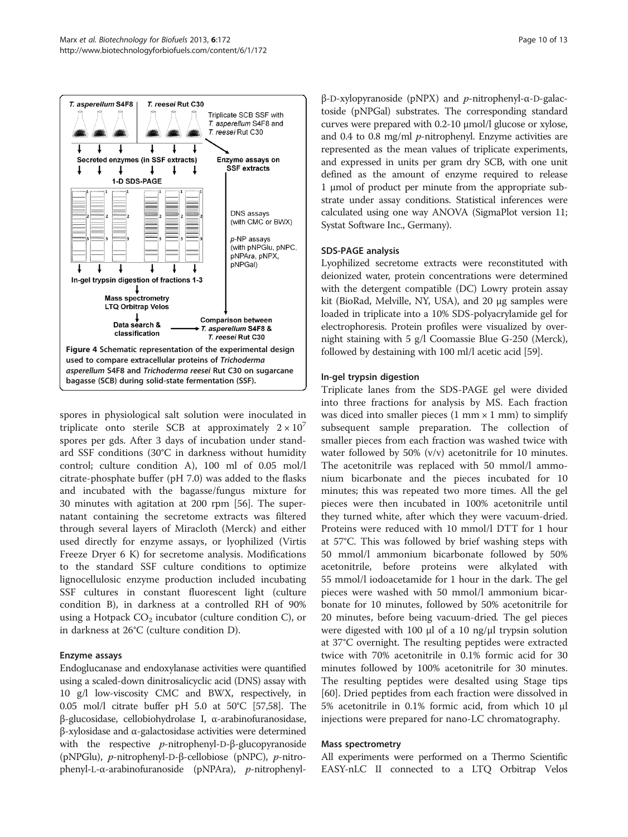<span id="page-9-0"></span>

spores in physiological salt solution were inoculated in triplicate onto sterile SCB at approximately  $2 \times 10^7$ spores per gds. After 3 days of incubation under standard SSF conditions (30°C in darkness without humidity control; culture condition A), 100 ml of 0.05 mol/l citrate-phosphate buffer (pH 7.0) was added to the flasks and incubated with the bagasse/fungus mixture for 30 minutes with agitation at 200 rpm [\[56\]](#page-12-0). The supernatant containing the secretome extracts was filtered through several layers of Miracloth (Merck) and either used directly for enzyme assays, or lyophilized (Virtis Freeze Dryer 6 K) for secretome analysis. Modifications to the standard SSF culture conditions to optimize lignocellulosic enzyme production included incubating SSF cultures in constant fluorescent light (culture condition B), in darkness at a controlled RH of 90% using a Hotpack  $CO<sub>2</sub>$  incubator (culture condition C), or in darkness at 26°C (culture condition D).

# Enzyme assays

Endoglucanase and endoxylanase activities were quantified using a scaled-down dinitrosalicyclic acid (DNS) assay with 10 g/l low-viscosity CMC and BWX, respectively, in 0.05 mol/l citrate buffer pH 5.0 at 50°C [[57,58\]](#page-12-0). The β-glucosidase, cellobiohydrolase I, α-arabinofuranosidase, β-xylosidase and α-galactosidase activities were determined with the respective  $p$ -nitrophenyl-D- $\beta$ -glucopyranoside (pNPGlu), p-nitrophenyl-D-β-cellobiose (pNPC), p-nitrophenyl-L-α-arabinofuranoside (pNPAra), p-nitrophenyl-

β-D-xylopyranoside (pNPX) and *p*-nitrophenyl-α-D-galactoside (pNPGal) substrates. The corresponding standard curves were prepared with 0.2-10 μmol/l glucose or xylose, and 0.4 to 0.8 mg/ml  $p$ -nitrophenyl. Enzyme activities are represented as the mean values of triplicate experiments, and expressed in units per gram dry SCB, with one unit defined as the amount of enzyme required to release 1 μmol of product per minute from the appropriate substrate under assay conditions. Statistical inferences were calculated using one way ANOVA (SigmaPlot version 11; Systat Software Inc., Germany).

#### SDS-PAGE analysis

Lyophilized secretome extracts were reconstituted with deionized water, protein concentrations were determined with the detergent compatible (DC) Lowry protein assay kit (BioRad, Melville, NY, USA), and 20 μg samples were loaded in triplicate into a 10% SDS-polyacrylamide gel for electrophoresis. Protein profiles were visualized by overnight staining with 5 g/l Coomassie Blue G-250 (Merck), followed by destaining with 100 ml/l acetic acid [\[59\]](#page-12-0).

#### In-gel trypsin digestion

Triplicate lanes from the SDS-PAGE gel were divided into three fractions for analysis by MS. Each fraction was diced into smaller pieces  $(1 \text{ mm} \times 1 \text{ mm})$  to simplify subsequent sample preparation. The collection of smaller pieces from each fraction was washed twice with water followed by 50% (v/v) acetonitrile for 10 minutes. The acetonitrile was replaced with 50 mmol/l ammonium bicarbonate and the pieces incubated for 10 minutes; this was repeated two more times. All the gel pieces were then incubated in 100% acetonitrile until they turned white, after which they were vacuum-dried. Proteins were reduced with 10 mmol/l DTT for 1 hour at 57°C. This was followed by brief washing steps with 50 mmol/l ammonium bicarbonate followed by 50% acetonitrile, before proteins were alkylated with 55 mmol/l iodoacetamide for 1 hour in the dark. The gel pieces were washed with 50 mmol/l ammonium bicarbonate for 10 minutes, followed by 50% acetonitrile for 20 minutes, before being vacuum-dried. The gel pieces were digested with 100 μl of a 10 ng/μl trypsin solution at 37°C overnight. The resulting peptides were extracted twice with 70% acetonitrile in 0.1% formic acid for 30 minutes followed by 100% acetonitrile for 30 minutes. The resulting peptides were desalted using Stage tips [[60\]](#page-12-0). Dried peptides from each fraction were dissolved in 5% acetonitrile in 0.1% formic acid, from which 10 μl injections were prepared for nano-LC chromatography.

#### Mass spectrometry

All experiments were performed on a Thermo Scientific EASY-nLC II connected to a LTQ Orbitrap Velos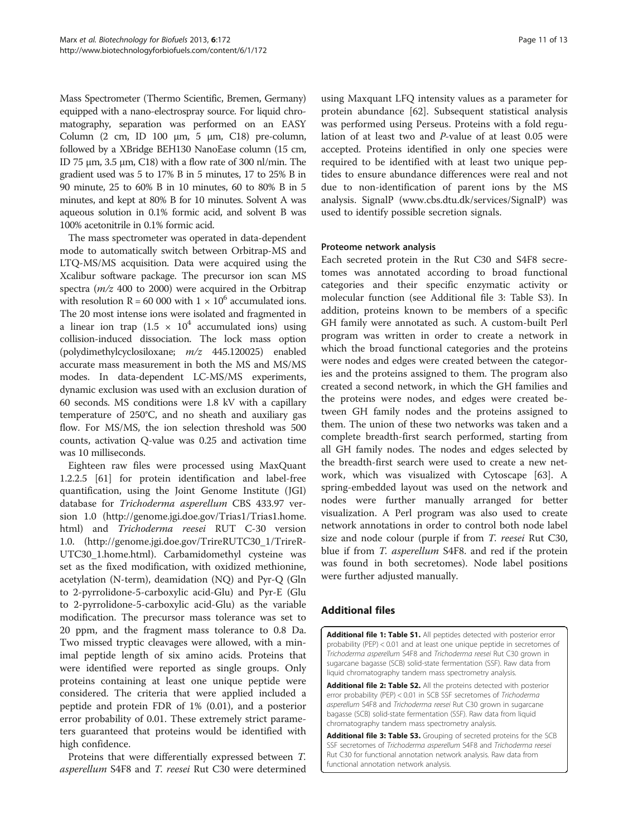<span id="page-10-0"></span>Mass Spectrometer (Thermo Scientific, Bremen, Germany) equipped with a nano-electrospray source. For liquid chromatography, separation was performed on an EASY Column (2 cm, ID 100 μm, 5 μm, C18) pre-column, followed by a XBridge BEH130 NanoEase column (15 cm, ID 75 μm, 3.5 μm, C18) with a flow rate of 300 nl/min. The gradient used was 5 to 17% B in 5 minutes, 17 to 25% B in 90 minute, 25 to 60% B in 10 minutes, 60 to 80% B in 5 minutes, and kept at 80% B for 10 minutes. Solvent A was aqueous solution in 0.1% formic acid, and solvent B was 100% acetonitrile in 0.1% formic acid.

The mass spectrometer was operated in data-dependent mode to automatically switch between Orbitrap-MS and LTQ-MS/MS acquisition. Data were acquired using the Xcalibur software package. The precursor ion scan MS spectra  $(m/z 400$  to 2000) were acquired in the Orbitrap with resolution R = 60 000 with  $1 \times 10^6$  accumulated ions. The 20 most intense ions were isolated and fragmented in a linear ion trap  $(1.5 \times 10^4$  accumulated ions) using collision-induced dissociation. The lock mass option (polydimethylcyclosiloxane; m/z 445.120025) enabled accurate mass measurement in both the MS and MS/MS modes. In data-dependent LC-MS/MS experiments, dynamic exclusion was used with an exclusion duration of 60 seconds. MS conditions were 1.8 kV with a capillary temperature of 250°C, and no sheath and auxiliary gas flow. For MS/MS, the ion selection threshold was 500 counts, activation Q-value was 0.25 and activation time was 10 milliseconds.

Eighteen raw files were processed using MaxQuant 1.2.2.5 [\[61\]](#page-12-0) for protein identification and label-free quantification, using the Joint Genome Institute (JGI) database for Trichoderma asperellum CBS 433.97 version 1.0 ([http://genome.jgi.doe.gov/Trias1/Trias1.home.](http://genome.jgi.doe.gov/Trias1/Trias1.home.html) [html\)](http://genome.jgi.doe.gov/Trias1/Trias1.home.html) and Trichoderma reesei RUT C-30 version 1.0. ([http://genome.jgi.doe.gov/TrireRUTC30\\_1/TrireR-](http://genome.jgi.doe.gov/TrireRUTC30_1/TrireRUTC30_1.home.html)[UTC30\\_1.home.html\)](http://genome.jgi.doe.gov/TrireRUTC30_1/TrireRUTC30_1.home.html). Carbamidomethyl cysteine was set as the fixed modification, with oxidized methionine, acetylation (N-term), deamidation (NQ) and Pyr-Q (Gln to 2-pyrrolidone-5-carboxylic acid-Glu) and Pyr-E (Glu to 2-pyrrolidone-5-carboxylic acid-Glu) as the variable modification. The precursor mass tolerance was set to 20 ppm, and the fragment mass tolerance to 0.8 Da. Two missed tryptic cleavages were allowed, with a minimal peptide length of six amino acids. Proteins that were identified were reported as single groups. Only proteins containing at least one unique peptide were considered. The criteria that were applied included a peptide and protein FDR of 1% (0.01), and a posterior error probability of 0.01. These extremely strict parameters guaranteed that proteins would be identified with high confidence.

Proteins that were differentially expressed between T. asperellum S4F8 and T. reesei Rut C30 were determined

using Maxquant LFQ intensity values as a parameter for protein abundance [[62](#page-12-0)]. Subsequent statistical analysis was performed using Perseus. Proteins with a fold regulation of at least two and P-value of at least 0.05 were accepted. Proteins identified in only one species were required to be identified with at least two unique peptides to ensure abundance differences were real and not due to non-identification of parent ions by the MS analysis. SignalP ([www.cbs.dtu.dk/services/SignalP](http://www.cbs.dtu.dk/services/SignalP)) was used to identify possible secretion signals.

#### Proteome network analysis

Each secreted protein in the Rut C30 and S4F8 secretomes was annotated according to broad functional categories and their specific enzymatic activity or molecular function (see Additional file 3: Table S3). In addition, proteins known to be members of a specific GH family were annotated as such. A custom-built Perl program was written in order to create a network in which the broad functional categories and the proteins were nodes and edges were created between the categories and the proteins assigned to them. The program also created a second network, in which the GH families and the proteins were nodes, and edges were created between GH family nodes and the proteins assigned to them. The union of these two networks was taken and a complete breadth-first search performed, starting from all GH family nodes. The nodes and edges selected by the breadth-first search were used to create a new network, which was visualized with Cytoscape [[63\]](#page-12-0). A spring-embedded layout was used on the network and nodes were further manually arranged for better visualization. A Perl program was also used to create network annotations in order to control both node label size and node colour (purple if from T. reesei Rut C30, blue if from T. asperellum S4F8. and red if the protein was found in both secretomes). Node label positions were further adjusted manually.

# Additional files

[Additional file 1: Table S1.](http://www.biomedcentral.com/content/supplementary/1754-6834-6-172-S1.xlsx) All peptides detected with posterior error probability (PEP) < 0.01 and at least one unique peptide in secretomes of Trichoderma asperellum S4F8 and Trichoderma reesei Rut C30 grown in sugarcane bagasse (SCB) solid-state fermentation (SSF). Raw data from liquid chromatography tandem mass spectrometry analysis.

[Additional file 2: Table S2.](http://www.biomedcentral.com/content/supplementary/1754-6834-6-172-S2.xlsx) All the proteins detected with posterior error probability (PEP) < 0.01 in SCB SSF secretomes of Trichoderma asperellum S4F8 and Trichoderma reesei Rut C30 grown in sugarcane bagasse (SCB) solid-state fermentation (SSF). Raw data from liquid chromatography tandem mass spectrometry analysis.

[Additional file 3: Table S3.](http://www.biomedcentral.com/content/supplementary/1754-6834-6-172-S3.xlsx) Grouping of secreted proteins for the SCB SSF secretomes of Trichoderma asperellum S4F8 and Trichoderma reesei Rut C30 for functional annotation network analysis. Raw data from functional annotation network analysis.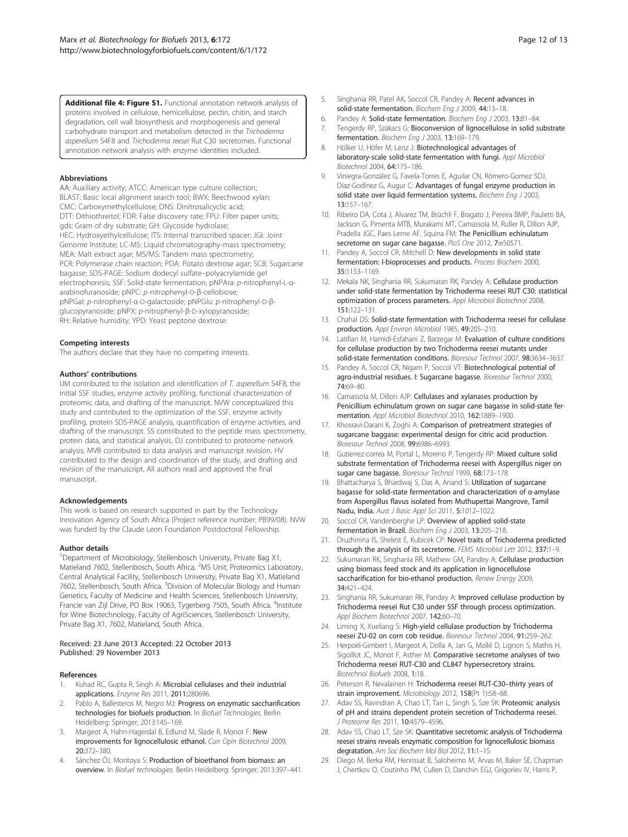<span id="page-11-0"></span>[Additional file 4: Figure S1.](http://www.biomedcentral.com/content/supplementary/1754-6834-6-172-S4.pdf) Functional annotation network analysis of proteins involved in cellulose, hemicellulose, pectin, chitin, and starch degradation, cell wall biosynthesis and morphogenesis and general carbohydrate transport and metabolism detected in the Trichoderma asperellum S4F8 and Trichoderma reesei Rut C30 secretomes. Functional annotation network analysis with enzyme identities included.

#### Abbreviations

AA: Auxiliary activity; ATCC: American type culture collection; BLAST: Basic local alignment search tool; BWX: Beechwood xylan; CMC: Carboxymethylcellulose; DNS: Dinitrosalicyclic acid; DTT: Dithiothreitol; FDR: False discovery rate; FPU: Filter paper units; gds: Gram of dry substrate; GH: Glycoside hydrolase; HEC: Hydroxyethylcellulose; ITS: Internal transcribed spacer; JGI: Joint Genome Institute; LC-MS: Liquid chromatography-mass spectrometry; MEA: Malt extract agar; MS/MS: Tandem mass spectrometry; PCR: Polymerase chain reaction; PDA: Potato dextrose agar; SCB: Sugarcane bagasse; SDS-PAGE: Sodium dodecyl sulfate–polyacrylamide gel electrophoresis; SSF: Solid-state fermentation; pNPAra: p-nitrophenyl-L-αarabinofuranoside; pNPC: p-nitrophenyl-D-β-cellobiose; pNPGal: p-nitrophenyl-α-D-galactoside; pNPGlu: p-nitrophenyl-D-βglucopyranoside; pNPX: p-nitrophenyl-β-D-xylopyranoside; RH: Relative humidity; YPD: Yeast peptone dextrose.

#### Competing interests

The authors declare that they have no competing interests.

#### Authors' contributions

IJM contributed to the isolation and identification of T. asperellum S4F8, the initial SSF studies, enzyme activity profiling, functional characterization of proteomic data, and drafting of the manuscript. NVW conceptualized this study and contributed to the optimization of the SSF, enzyme activity profiling, protein SDS-PAGE analysis, quantification of enzyme activities, and drafting of the manuscript. SS contributed to the peptide mass spectrometry, protein data, and statistical analysis. DJ contributed to proteome network analysis. MVB contributed to data analysis and manuscript revision. HV contributed to the design and coordination of the study, and drafting and revision of the manuscript. All authors read and approved the final manuscript.

#### Acknowledgements

This work is based on research supported in part by the Technology Innovation Agency of South Africa (Project reference number: PB99/08). NVW was funded by the Claude Leon Foundation Postdoctoral Fellowship.

#### Author details

<sup>1</sup>Department of Microbiology, Stellenbosch University, Private Bag X1, Matieland 7602, Stellenbosch, South Africa. <sup>2</sup>MS Unit, Proteomics Laboratory, Central Analytical Facility, Stellenbosch University, Private Bag X1, Matieland 7602, Stellenbosch, South Africa. <sup>3</sup>Division of Molecular Biology and Human Genetics, Faculty of Medicine and Health Sciences, Stellenbosch University, Francie van Zijl Drive, PO Box 19063, Tygerberg 7505, South Africa. <sup>4</sup>Institute for Wine Biotechnology, Faculty of AgriSciences, Stellenbosch University, Private Bag X1, 7602, Matieland, South Africa.

#### Received: 23 June 2013 Accepted: 22 October 2013 Published: 29 November 2013

#### References

- Kuhad RC, Gupta R, Singh A: Microbial cellulases and their industrial applications. Enzyme Res 2011, 2011:280696.
- 2. Pablo A, Ballesteros M, Negro MJ: Progress on enzymatic saccharification technologies for biofuels production. In Biofuel Technologies. Berlin Heidelberg: Springer; 2013:145–169.
- 3. Margeot A, Hahn-Hagerdal B, Edlund M, Slade R, Monot F: New improvements for lignocellulosic ethanol. Curr Opin Biotechnol 2009, 20:372–380.
- 4. Sánchez ÓJ, Montoya S: Production of bioethanol from biomass: an overview. In Biofuel technologies. Berlin Heidelberg: Springer; 2013:397–441.
- 5. Singhania RR, Patel AK, Soccol CR, Pandey A: Recent advances in solid-state fermentation. Biochem Eng J 2009, 44:13-18.
- 6. Pandey A: Solid-state fermentation. Biochem Eng J 2003, 13:81–84.
- 7. Tengerdy RP, Szakacs G: Bioconversion of lignocellulose in solid substrate fermentation. Biochem Eng J 2003, 13:169–179.
- 8. Hölker U, Höfer M, Lenz J: Biotechnological advantages of laboratory-scale solid-state fermentation with fungi. Appl Microbiol Biotechnol 2004, 64:175–186.
- 9. Viniegra-González G, Favela-Torres E, Aguilar CN, Rómero-Gomez SDJ, Díaz-Godínez G, Augur C: Advantages of fungal enzyme production in solid state over liquid fermentation systems. Biochem Eng J 2003, 13:157–167.
- 10. Ribeiro DA, Cota J, Alvarez TM, Brüchli F, Bragato J, Pereira BMP, Pauletti BA, Jackson G, Pimenta MTB, Murakami MT, Camassola M, Ruller R, Dillon AJP, Pradella JGC, Paes Leme AF, Squina FM: The Penicillium echinulatum secretome on sugar cane bagasse. PloS One 2012, 7:e50571.
- 11. Pandey A, Soccol CR, Mitchell D: New developments in solid state fermentation: I-bioprocesses and products. Process Biochem 2000, 35:1153–1169.
- 12. Mekala NK, Singhania RR, Sukumaran RK, Pandey A: Cellulase production under solid-state fermentation by Trichoderma reesei RUT C30: statistical optimization of process parameters. Appl Microbiol Biotechnol 2008, 151:122–131.
- 13. Chahal DS: Solid-state fermentation with Trichoderma reesei for cellulase production. Appl Environ Microbiol 1985, 49:205–210.
- 14. Latifian M, Hamidi-Esfahani Z, Barzegar M: Evaluation of culture conditions for cellulase production by two Trichoderma reesei mutants under solid-state fermentation conditions. Bioresour Technol 2007, 98:3634–3637.
- 15. Pandey A, Soccol CR, Nigam P, Soccol VT: Biotechnological potential of agro-industrial residues. I: Sugarcane bagasse. Bioresour Technol 2000, 74:69–80.
- 16. Camassola M, Dillon AJP: Cellulases and xylanases production by Penicillium echinulatum grown on sugar cane bagasse in solid-state fermentation. Appl Microbiol Biotechnol 2010, 162:1889–1900.
- 17. Khosravi-Darani K, Zoghi A: Comparison of pretreatment strategies of sugarcane baggase: experimental design for citric acid production. Bioresour Technol 2008, 99:6986–6993.
- 18. Gutierrez-correa M, Portal L, Moreno P, Tengerdy RP: Mixed culture solid substrate fermentation of Trichoderma reesei with Aspergillus niger on sugar cane bagasse. Bioresour Technol 1999, 68:173-178.
- 19. Bhattacharya S, Bhardwaj S, Das A, Anand S: Utilization of sugarcane bagasse for solid-state fermentation and characterization of α-amylase from Aspergillus flavus isolated from Muthupettai Mangrove, Tamil Nadu, India. Aust J Basic Appl Sci 2011, 5:1012–1022.
- 20. Soccol CR, Vandenberghe LP: Overview of applied solid-state fermentation in Brazil. Biochem Eng J 2003, 13:205–218.
- 21. Druzhinina IS, Shelest E, Kubicek CP: Novel traits of Trichoderma predicted through the analysis of its secretome. FEMS Microbiol Lett 2012, 337:1-9.
- 22. Sukumaran RK, Singhania RR, Mathew GM, Pandey A: Cellulase production using biomass feed stock and its application in lignocellulose saccharification for bio-ethanol production. Renew Energy 2009, 34:421–424.
- 23. Singhania RR, Sukumaran RK, Pandey A: Improved cellulase production by Trichoderma reesei Rut C30 under SSF through process optimization. Appl Biochem Biotechnol 2007, 142:60–70.
- 24. Liming X, Xueliang S: High-yield cellulase production by Trichoderma reesei ZU-02 on corn cob residue. Bioresour Technol 2004, 91:259–262.
- 25. Herpoël-Gimbert I, Margeot A, Dolla A, Jan G, Mollé D, Lignon S, Mathis H, Sigoillot JC, Monot F, Asther M: Comparative secretome analyses of two Trichoderma reesei RUT-C30 and CL847 hypersecretory strains. Biotechnol Biofuels 2008, 1:18.
- 26. Peterson R, Nevalainen H: Trichoderma reesei RUT-C30-thirty years of strain improvement. Microbiology 2012, 158(Pt 1):58–68.
- 27. Adav SS, Ravindran A, Chao LT, Tan L, Singh S, Sze SK: Proteomic analysis of pH and strains dependent protein secretion of Trichoderma reesei. J Proteome Res 2011, 10:4579–4596.
- 28. Adav SS, Chao LT, Sze SK: Quantitative secretomic analysis of Trichoderma reesei strains reveals enzymatic composition for lignocellulosic biomass degratation. Am Soc Biochem Mol Biol 2012, 11:1–15.
- 29. Diego M, Berka RM, Henrissat B, Saloheimo M, Arvas M, Baker SE, Chapman J, Chertkov O, Coutinho PM, Cullen D, Danchin EGJ, Grigoriev IV, Harris P,